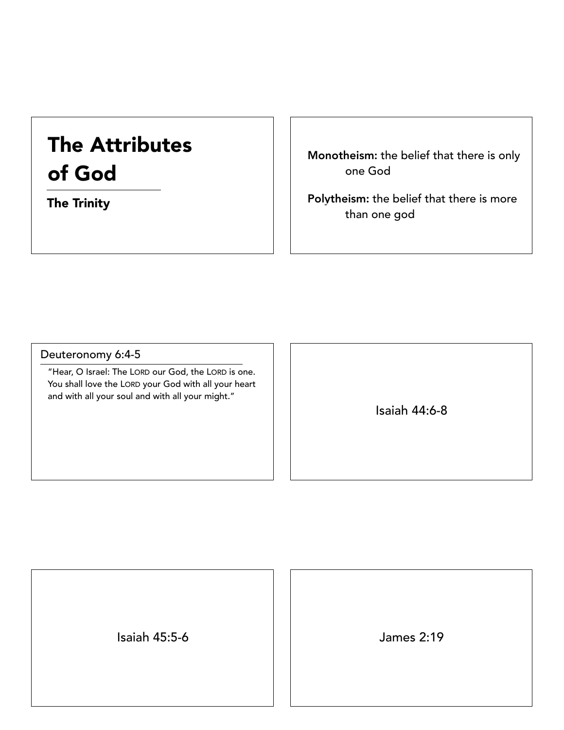# The Attributes of God

The Trinity

Monotheism: the belief that there is only one God

Polytheism: the belief that there is more than one god

### Deuteronomy 6:4-5

"Hear, O Israel: The LORD our God, the LORD is one. You shall love the LORD your God with all your heart and with all your soul and with all your might."

Isaiah 44:6-8

Isaiah 45:5-6 James 2:19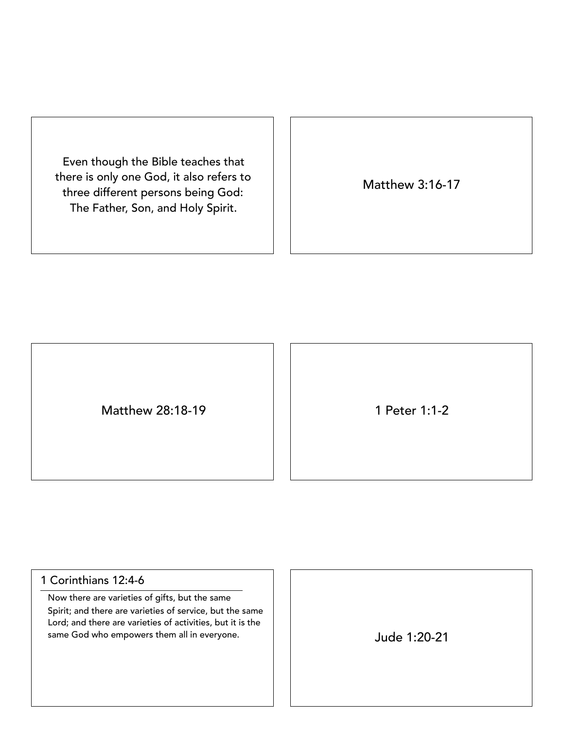Even though the Bible teaches that there is only one God, it also refers to three different persons being God: The Father, Son, and Holy Spirit.

Matthew 3:16-17

Matthew 28:18-19 1 Peter 1:1-2

## 1 Corinthians 12:4-6

Now there are varieties of gifts, but the same Spirit; and there are varieties of service, but the same Lord; and there are varieties of activities, but it is the same God who empowers them all in everyone.  $\vert \vert$  |  $\vert$  |  $\vert$  |  $\vert$  |  $\vert$  |  $\vert$  |  $\vert$  |  $\vert$  |  $\vert$  |  $\vert$  |  $\vert$  |  $\vert$  |  $\vert$  |  $\vert$  |  $\vert$  |  $\vert$  |  $\vert$  |  $\vert$  |  $\vert$  |  $\vert$  |  $\vert$  |  $\vert$  |  $\vert$  |  $\vert$  |  $\vert$  |

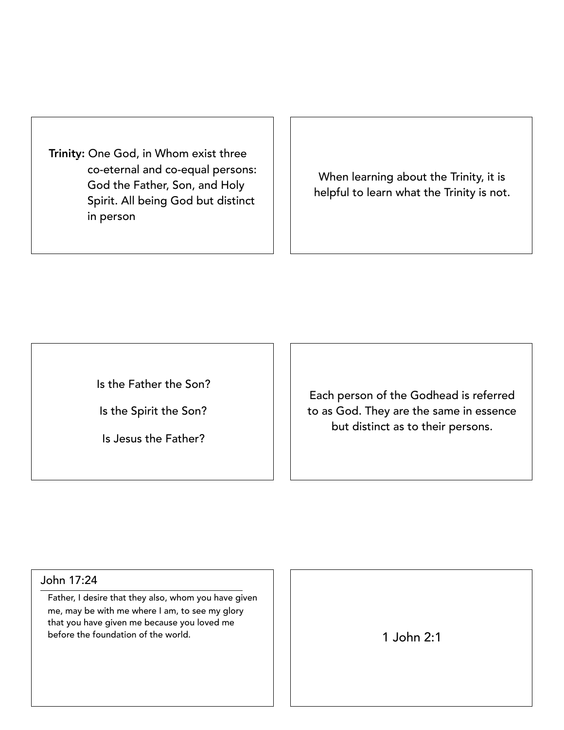Trinity: One God, in Whom exist three co-eternal and co-equal persons: God the Father, Son, and Holy Spirit. All being God but distinct in person

When learning about the Trinity, it is helpful to learn what the Trinity is not.

Is the Father the Son?

Is the Spirit the Son?

Is Jesus the Father?

Each person of the Godhead is referred to as God. They are the same in essence but distinct as to their persons.

#### John 17:24

Father, I desire that they also, whom you have given me, may be with me where I am, to see my glory that you have given me because you loved me before the foundation of the world. 1 John 2:1

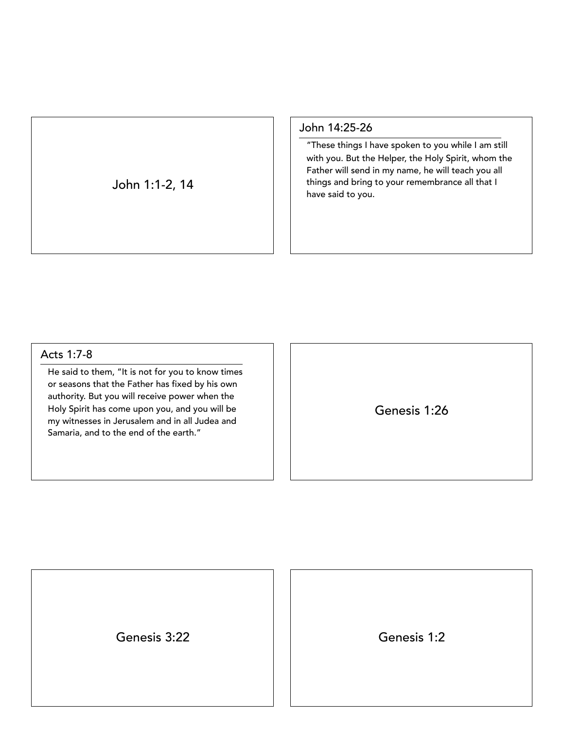John 1:1-2, 14

John 14:25-26

"These things I have spoken to you while I am still with you. But the Helper, the Holy Spirit, whom the Father will send in my name, he will teach you all things and bring to your remembrance all that I have said to you.

#### Acts 1:7-8

He said to them, "It is not for you to know times or seasons that the Father has fixed by his own authority. But you will receive power when the Holy Spirit has come upon you, and you will be my witnesses in Jerusalem and in all Judea and Samaria, and to the end of the earth."

Genesis 1:26

Genesis 3:22 Genesis 1:2